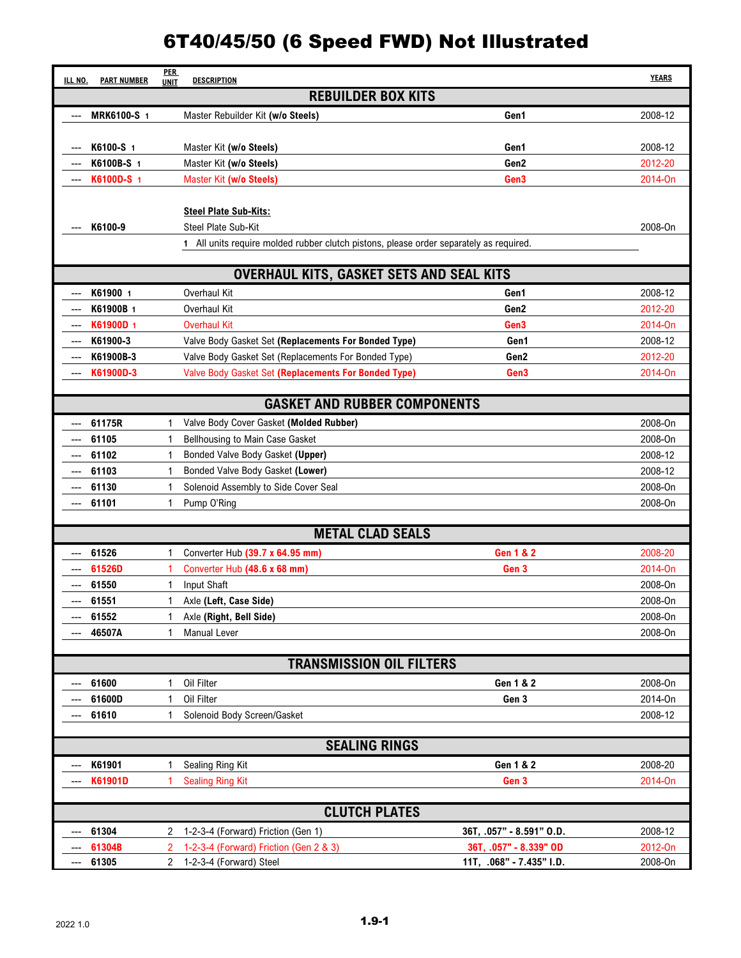| ILL NO.                   | <b>PART NUMBER</b>              | <b>PER</b><br><b>UNIT</b> | <b>DESCRIPTION</b>                                                                     |                          | <b>YEARS</b> |  |  |
|---------------------------|---------------------------------|---------------------------|----------------------------------------------------------------------------------------|--------------------------|--------------|--|--|
| <b>REBUILDER BOX KITS</b> |                                 |                           |                                                                                        |                          |              |  |  |
| ---                       | MRK6100-S 1                     |                           | Master Rebuilder Kit (w/o Steels)                                                      | Gen1                     | 2008-12      |  |  |
|                           |                                 |                           |                                                                                        |                          |              |  |  |
|                           | K6100-S 1                       |                           | Master Kit (w/o Steels)                                                                | Gen1                     | 2008-12      |  |  |
|                           | K6100B-S 1                      |                           | Master Kit (w/o Steels)                                                                | Gen2                     | 2012-20      |  |  |
|                           | K6100D-S 1                      |                           | Master Kit (w/o Steels)                                                                | Gen3                     | 2014-On      |  |  |
|                           |                                 |                           |                                                                                        |                          |              |  |  |
|                           |                                 |                           | <b>Steel Plate Sub-Kits:</b>                                                           |                          |              |  |  |
|                           | K6100-9                         |                           | Steel Plate Sub-Kit                                                                    |                          | 2008-0n      |  |  |
|                           |                                 |                           | 1 All units require molded rubber clutch pistons, please order separately as required. |                          |              |  |  |
|                           |                                 |                           | <b>OVERHAUL KITS, GASKET SETS AND SEAL KITS</b>                                        |                          |              |  |  |
|                           | K61900 1                        |                           | Overhaul Kit                                                                           | Gen1                     | 2008-12      |  |  |
|                           | K61900B 1                       |                           | Overhaul Kit                                                                           | Gen2                     | 2012-20      |  |  |
|                           | K61900D 1                       |                           | <b>Overhaul Kit</b>                                                                    | Gen3                     | 2014-On      |  |  |
|                           | K61900-3                        |                           | Valve Body Gasket Set (Replacements For Bonded Type)                                   | Gen1                     | 2008-12      |  |  |
|                           | K61900B-3                       |                           | Valve Body Gasket Set (Replacements For Bonded Type)                                   | Gen2                     | 2012-20      |  |  |
|                           | K61900D-3                       |                           | Valve Body Gasket Set (Replacements For Bonded Type)                                   | Gen3                     | 2014-On      |  |  |
|                           |                                 |                           |                                                                                        |                          |              |  |  |
|                           |                                 |                           | <b>GASKET AND RUBBER COMPONENTS</b>                                                    |                          |              |  |  |
|                           | 61175R                          |                           | Valve Body Cover Gasket (Molded Rubber)                                                |                          | 2008-On      |  |  |
|                           | 61105                           |                           | Bellhousing to Main Case Gasket                                                        |                          | 2008-0n      |  |  |
|                           | 61102                           |                           | Bonded Valve Body Gasket (Upper)                                                       |                          | 2008-12      |  |  |
|                           | 61103                           | 1                         | Bonded Valve Body Gasket (Lower)                                                       |                          | 2008-12      |  |  |
|                           | 61130                           | 1                         | Solenoid Assembly to Side Cover Seal                                                   |                          | 2008-On      |  |  |
|                           | 61101                           |                           | Pump O'Ring                                                                            |                          | 2008-0n      |  |  |
|                           |                                 |                           |                                                                                        |                          |              |  |  |
|                           |                                 |                           | <b>METAL CLAD SEALS</b>                                                                |                          |              |  |  |
|                           | 61526                           | 1                         | Converter Hub (39.7 x 64.95 mm)                                                        | <b>Gen 1 &amp; 2</b>     | 2008-20      |  |  |
|                           | 61526D                          |                           | Converter Hub (48.6 x 68 mm)                                                           | Gen 3                    | 2014-On      |  |  |
|                           | 61550                           |                           | Input Shaft                                                                            |                          | 2008-On      |  |  |
|                           | 61551                           | 1                         | Axle (Left, Case Side)                                                                 |                          | 2008-On      |  |  |
|                           | 61552                           | 1                         | Axle (Right, Bell Side)<br><b>Manual Lever</b>                                         |                          | 2008-On      |  |  |
|                           | 46507A                          | 1                         |                                                                                        |                          | 2008-0n      |  |  |
|                           | <b>TRANSMISSION OIL FILTERS</b> |                           |                                                                                        |                          |              |  |  |
|                           | 61600                           |                           | Oil Filter                                                                             | Gen 1 & 2                | 2008-On      |  |  |
|                           | 61600D                          |                           | Oil Filter                                                                             | Gen 3                    | 2014-On      |  |  |
|                           | 61610                           |                           | Solenoid Body Screen/Gasket                                                            |                          | 2008-12      |  |  |
|                           |                                 |                           |                                                                                        |                          |              |  |  |
| <b>SEALING RINGS</b>      |                                 |                           |                                                                                        |                          |              |  |  |
|                           | K61901                          |                           | Sealing Ring Kit                                                                       | Gen 1 & 2                | 2008-20      |  |  |
|                           | K61901D                         |                           | <b>Sealing Ring Kit</b>                                                                | Gen 3                    | 2014-On      |  |  |
| <b>CLUTCH PLATES</b>      |                                 |                           |                                                                                        |                          |              |  |  |
|                           | 61304                           | 2                         | 1-2-3-4 (Forward) Friction (Gen 1)                                                     | 36T, .057" - 8.591" O.D. | 2008-12      |  |  |
|                           | 61304B                          | 2                         | 1-2-3-4 (Forward) Friction (Gen 2 & 3)                                                 | 36T, .057" - 8.339" OD   | 2012-On      |  |  |
| ---                       | 61305                           | $\mathbf{2}$              | 1-2-3-4 (Forward) Steel                                                                | 11T, .068" - 7.435" I.D. | 2008-On      |  |  |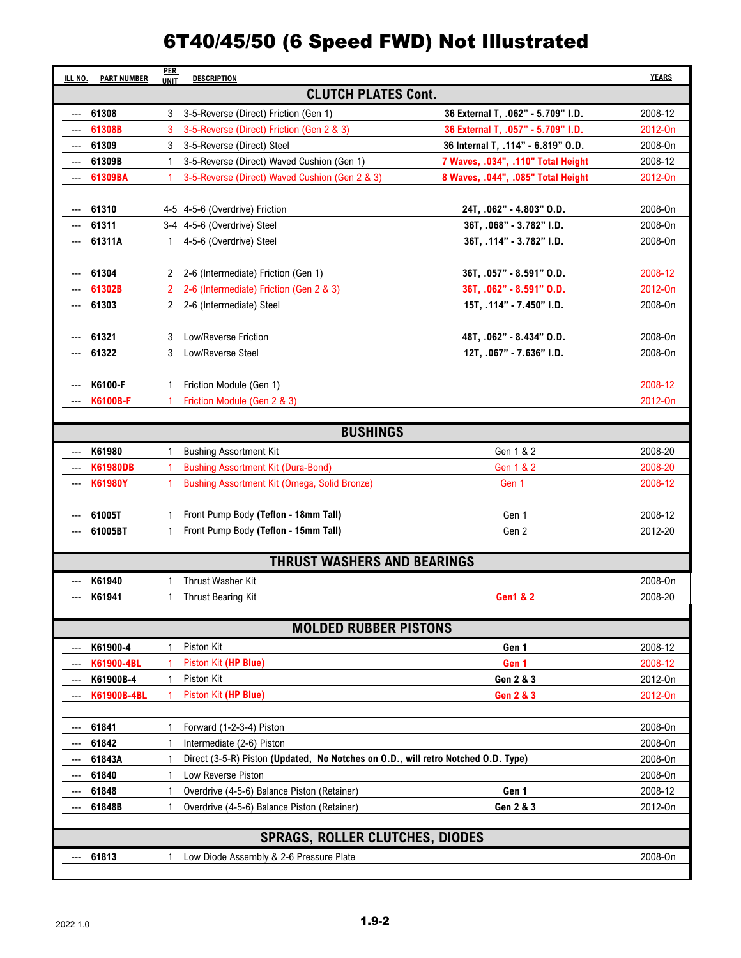| ILL NO.<br><b>PART NUMBER</b>      | <b>PER</b><br><b>UNIT</b> | <b>DESCRIPTION</b>                                                                |                                    | <b>YEARS</b>       |  |  |
|------------------------------------|---------------------------|-----------------------------------------------------------------------------------|------------------------------------|--------------------|--|--|
| <b>CLUTCH PLATES Cont.</b>         |                           |                                                                                   |                                    |                    |  |  |
| 61308                              | 3                         | 3-5-Reverse (Direct) Friction (Gen 1)                                             | 36 External T, .062" - 5.709" I.D. | 2008-12            |  |  |
| 61308B                             | 3                         | 3-5-Reverse (Direct) Friction (Gen 2 & 3)                                         | 36 External T, .057" - 5.709" I.D. | 2012-0n            |  |  |
| 61309                              | 3                         | 3-5-Reverse (Direct) Steel                                                        | 36 Internal T, .114" - 6.819" O.D. | 2008-0n            |  |  |
| 61309B                             | 1                         | 3-5-Reverse (Direct) Waved Cushion (Gen 1)                                        | 7 Waves, .034", .110" Total Height | 2008-12            |  |  |
| 61309BA                            |                           | 3-5-Reverse (Direct) Waved Cushion (Gen 2 & 3)                                    | 8 Waves, .044", .085" Total Height | 2012-On            |  |  |
|                                    |                           |                                                                                   |                                    |                    |  |  |
| 61310                              |                           | 4-5 4-5-6 (Overdrive) Friction                                                    | 24T, 062" - 4.803" O.D.            | 2008-0n            |  |  |
| 61311                              |                           | 3-4 4-5-6 (Overdrive) Steel                                                       | 36T, .068" - 3.782" I.D.           | 2008-0n            |  |  |
| 61311A                             | 1                         | 4-5-6 (Overdrive) Steel                                                           | 36T, .114" - 3.782" I.D.           | 2008-0n            |  |  |
|                                    |                           |                                                                                   |                                    |                    |  |  |
| 61304                              | 2                         | 2-6 (Intermediate) Friction (Gen 1)                                               | 36T, .057" - 8.591" O.D.           | 2008-12            |  |  |
| 61302B                             | 2                         | 2-6 (Intermediate) Friction (Gen 2 & 3)                                           | 36T, .062" - 8.591" O.D.           | 2012-0n            |  |  |
| 61303                              | $\mathbf{2}$              | 2-6 (Intermediate) Steel                                                          | 15T, .114" - 7.450" I.D.           | 2008-On            |  |  |
|                                    |                           |                                                                                   |                                    |                    |  |  |
| 61321<br>61322                     | 3<br>3                    | Low/Reverse Friction<br>Low/Reverse Steel                                         | 48T, .062" - 8.434" O.D.           | 2008-On<br>2008-On |  |  |
|                                    |                           |                                                                                   | 12T, .067" - 7.636" I.D.           |                    |  |  |
| K6100-F                            | 1                         | Friction Module (Gen 1)                                                           |                                    | 2008-12            |  |  |
| <b>K6100B-F</b>                    | 1                         | Friction Module (Gen 2 & 3)                                                       |                                    | 2012-On            |  |  |
|                                    |                           |                                                                                   |                                    |                    |  |  |
|                                    |                           | <b>BUSHINGS</b>                                                                   |                                    |                    |  |  |
| K61980                             | 1                         | <b>Bushing Assortment Kit</b>                                                     | Gen 1 & 2                          | 2008-20            |  |  |
| <b>K61980DB</b>                    |                           | <b>Bushing Assortment Kit (Dura-Bond)</b>                                         | Gen 1 & 2                          | 2008-20            |  |  |
| <b>K61980Y</b>                     | 1                         | Bushing Assortment Kit (Omega, Solid Bronze)                                      | Gen 1                              | 2008-12            |  |  |
|                                    |                           |                                                                                   |                                    |                    |  |  |
| 61005T                             | 1                         | Front Pump Body (Teflon - 18mm Tall)                                              | Gen 1                              | 2008-12            |  |  |
| 61005BT                            | 1                         | Front Pump Body (Teflon - 15mm Tall)                                              | Gen 2                              | 2012-20            |  |  |
| <b>THRUST WASHERS AND BEARINGS</b> |                           |                                                                                   |                                    |                    |  |  |
|                                    |                           |                                                                                   |                                    |                    |  |  |
| K61940                             | 1                         | Thrust Washer Kit                                                                 | <b>Gen1 &amp; 2</b>                | 2008-On            |  |  |
| K61941                             | 1                         | Thrust Bearing Kit                                                                |                                    | 2008-20            |  |  |
|                                    |                           | <b>MOLDED RUBBER PISTONS</b>                                                      |                                    |                    |  |  |
| K61900-4                           | 1                         | Piston Kit                                                                        | Gen 1                              | 2008-12            |  |  |
| K61900-4BL                         |                           | Piston Kit (HP Blue)                                                              | Gen 1                              | 2008-12            |  |  |
| K61900B-4                          | 1                         | Piston Kit                                                                        | Gen 2 & 3                          | 2012-On            |  |  |
| K61900B-4BL                        |                           | Piston Kit (HP Blue)                                                              | <b>Gen 2 &amp; 3</b>               | 2012-On            |  |  |
|                                    |                           |                                                                                   |                                    |                    |  |  |
| 61841                              | 1                         | Forward (1-2-3-4) Piston                                                          |                                    | 2008-0n            |  |  |
| 61842                              | 1                         | Intermediate (2-6) Piston                                                         |                                    | 2008-0n            |  |  |
| 61843A                             | 1                         | Direct (3-5-R) Piston (Updated, No Notches on O.D., will retro Notched O.D. Type) |                                    | 2008-0n            |  |  |
| 61840                              | 1                         | Low Reverse Piston                                                                |                                    | 2008-0n            |  |  |
| 61848                              | 1                         | Overdrive (4-5-6) Balance Piston (Retainer)                                       | Gen 1                              | 2008-12            |  |  |
| 61848B                             | 1                         | Overdrive (4-5-6) Balance Piston (Retainer)                                       | Gen 2 & 3                          | 2012-On            |  |  |
|                                    |                           |                                                                                   |                                    |                    |  |  |
|                                    |                           | <b>SPRAGS, ROLLER CLUTCHES, DIODES</b>                                            |                                    |                    |  |  |
| 61813                              | 1                         | Low Diode Assembly & 2-6 Pressure Plate                                           |                                    | 2008-On            |  |  |
|                                    |                           |                                                                                   |                                    |                    |  |  |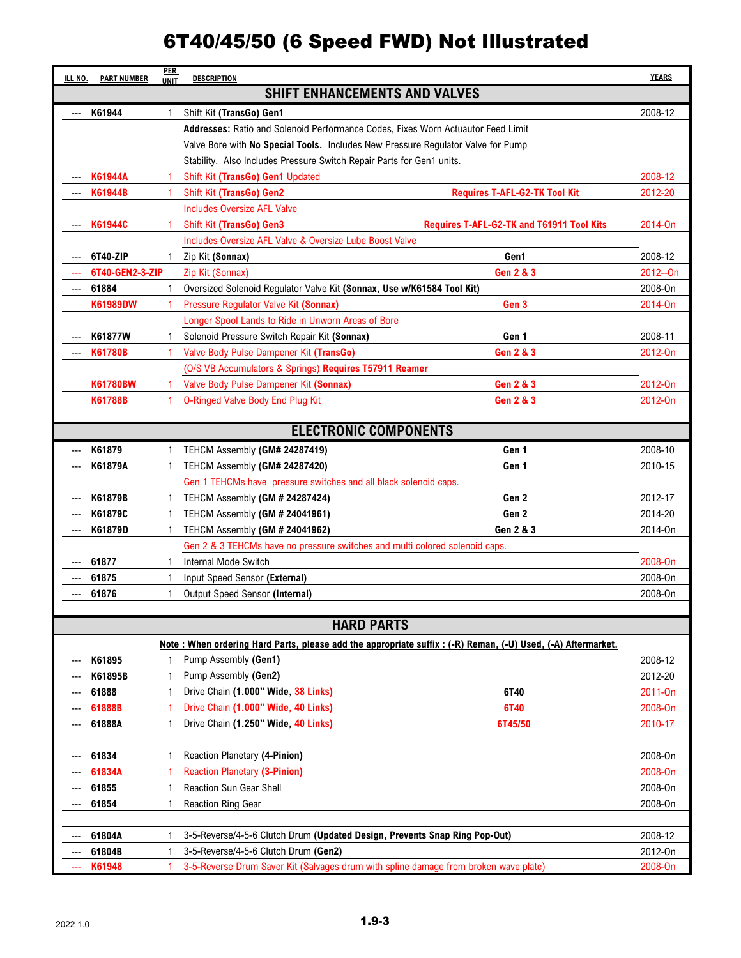| ILL NO. | <b>PART NUMBER</b> | <b>PER</b><br><b>UNIT</b> | <b>DESCRIPTION</b>                                                                                          |                                           | <b>YEARS</b> |
|---------|--------------------|---------------------------|-------------------------------------------------------------------------------------------------------------|-------------------------------------------|--------------|
|         |                    |                           | <b>SHIFT ENHANCEMENTS AND VALVES</b>                                                                        |                                           |              |
| ---     | K61944             | 1                         | Shift Kit (TransGo) Gen1                                                                                    |                                           | 2008-12      |
|         |                    |                           | Addresses: Ratio and Solenoid Performance Codes, Fixes Worn Actuautor Feed Limit                            |                                           |              |
|         |                    |                           | Valve Bore with No Special Tools. Includes New Pressure Regulator Valve for Pump                            |                                           |              |
|         |                    |                           | Stability. Also Includes Pressure Switch Repair Parts for Gen1 units.                                       |                                           |              |
|         | K61944A            |                           | Shift Kit (TransGo) Gen1 Updated                                                                            |                                           | 2008-12      |
|         | K61944B            | 1                         | Shift Kit (TransGo) Gen2                                                                                    | <b>Requires T-AFL-G2-TK Tool Kit</b>      | 2012-20      |
|         |                    |                           | <b>Includes Oversize AFL Valve</b>                                                                          |                                           |              |
|         | K61944C            | 1                         | <b>Shift Kit (TransGo) Gen3</b>                                                                             | Requires T-AFL-G2-TK and T61911 Tool Kits | 2014-On      |
|         |                    |                           | Includes Oversize AFL Valve & Oversize Lube Boost Valve                                                     |                                           |              |
|         | 6T40-ZIP           | 1                         | Zip Kit (Sonnax)                                                                                            | Gen1                                      | 2008-12      |
|         | 6T40-GEN2-3-ZIP    |                           | Zip Kit (Sonnax)                                                                                            | <b>Gen 2 &amp; 3</b>                      | 2012--On     |
| ---     | 61884              | 1                         | Oversized Solenoid Regulator Valve Kit (Sonnax, Use w/K61584 Tool Kit)                                      |                                           | 2008-0n      |
|         | K61989DW           | 1                         | Pressure Regulator Valve Kit (Sonnax)                                                                       | Gen 3                                     | 2014-On      |
|         |                    |                           | Longer Spool Lands to Ride in Unworn Areas of Bore                                                          |                                           |              |
|         | K61877W            | 1                         | Solenoid Pressure Switch Repair Kit (Sonnax)                                                                | Gen 1                                     | 2008-11      |
|         | <b>K61780B</b>     | 1                         | Valve Body Pulse Dampener Kit (TransGo)                                                                     | <b>Gen 2 &amp; 3</b>                      | 2012-On      |
|         |                    |                           | (O/S VB Accumulators & Springs) Requires T57911 Reamer                                                      |                                           |              |
|         | <b>K61780BW</b>    | 1                         | Valve Body Pulse Dampener Kit (Sonnax)                                                                      | <b>Gen 2 &amp; 3</b>                      | 2012-On      |
|         | K61788B            | 1                         | <b>O-Ringed Valve Body End Plug Kit</b>                                                                     | <b>Gen 2 &amp; 3</b>                      | 2012-On      |
|         |                    |                           |                                                                                                             |                                           |              |
|         |                    |                           | <b>ELECTRONIC COMPONENTS</b>                                                                                |                                           |              |
|         | K61879             | 1                         | TEHCM Assembly (GM# 24287419)                                                                               | Gen 1                                     | 2008-10      |
|         | K61879A            | 1                         | TEHCM Assembly (GM# 24287420)                                                                               | Gen 1                                     | 2010-15      |
|         |                    |                           | Gen 1 TEHCMs have pressure switches and all black solenoid caps.                                            |                                           |              |
|         | K61879B            | 1                         | TEHCM Assembly (GM # 24287424)                                                                              | Gen 2                                     | 2012-17      |
|         | K61879C            | 1                         | TEHCM Assembly (GM # 24041961)                                                                              | Gen 2                                     | 2014-20      |
| ---     | K61879D            | 1                         | TEHCM Assembly (GM # 24041962)                                                                              | Gen 2 & 3                                 | 2014-0n      |
|         |                    |                           | Gen 2 & 3 TEHCMs have no pressure switches and multi colored solenoid caps.                                 |                                           |              |
|         | 61877              | 1                         | Internal Mode Switch                                                                                        |                                           | 2008-On      |
|         | 61875              | 1                         | Input Speed Sensor (External)                                                                               |                                           | 2008-On      |
| ---     | 61876              | 1                         | Output Speed Sensor (Internal)                                                                              |                                           | 2008-On      |
|         |                    |                           |                                                                                                             |                                           |              |
|         |                    |                           | <b>HARD PARTS</b>                                                                                           |                                           |              |
|         |                    |                           | Note: When ordering Hard Parts, please add the appropriate suffix: (-R) Reman, (-U) Used, (-A) Aftermarket. |                                           |              |
|         | K61895             | 1                         | Pump Assembly (Gen1)                                                                                        |                                           | 2008-12      |
|         | K61895B            | 1                         | Pump Assembly (Gen2)                                                                                        |                                           | 2012-20      |
|         | 61888              | 1                         | Drive Chain (1.000" Wide, 38 Links)                                                                         | 6T40                                      | 2011-On      |
|         | 61888B             | 1                         | Drive Chain (1.000" Wide, 40 Links)                                                                         | <b>6T40</b>                               | 2008-On      |
| ---     | 61888A             | $\mathbf{1}$              | Drive Chain (1.250" Wide, 40 Links)                                                                         | 6T45/50                                   | 2010-17      |
|         |                    |                           |                                                                                                             |                                           |              |
|         | 61834              | 1                         | Reaction Planetary (4-Pinion)                                                                               |                                           | 2008-0n      |
|         | 61834A             |                           | <b>Reaction Planetary (3-Pinion)</b>                                                                        |                                           | 2008-On      |
|         | 61855              | 1                         | Reaction Sun Gear Shell                                                                                     |                                           | 2008-On      |
|         | 61854              | 1                         | <b>Reaction Ring Gear</b>                                                                                   |                                           | 2008-0n      |
|         |                    |                           |                                                                                                             |                                           |              |
|         | 61804A             | 1                         | 3-5-Reverse/4-5-6 Clutch Drum (Updated Design, Prevents Snap Ring Pop-Out)                                  |                                           | 2008-12      |
|         | 61804B             | 1<br>1                    | 3-5-Reverse/4-5-6 Clutch Drum (Gen2)                                                                        |                                           | 2012-0n      |
|         | K61948             |                           | 3-5-Reverse Drum Saver Kit (Salvages drum with spline damage from broken wave plate)                        |                                           | 2008-On      |